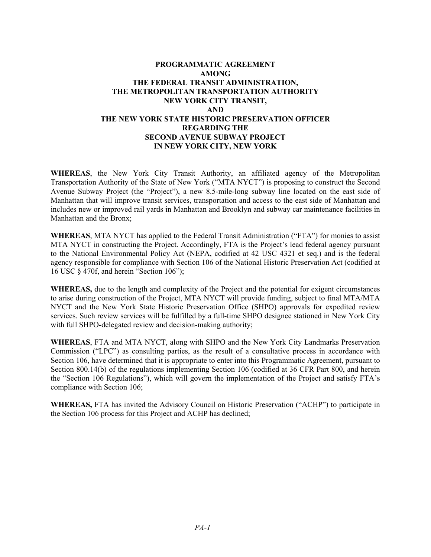# **PROGRAMMATIC AGREEMENT AMONG THE FEDERAL TRANSIT ADMINISTRATION, THE METROPOLITAN TRANSPORTATION AUTHORITY NEW YORK CITY TRANSIT, AND THE NEW YORK STATE HISTORIC PRESERVATION OFFICER REGARDING THE SECOND AVENUE SUBWAY PROJECT IN NEW YORK CITY, NEW YORK**

**WHEREAS**, the New York City Transit Authority, an affiliated agency of the Metropolitan Transportation Authority of the State of New York ("MTA NYCT") is proposing to construct the Second Avenue Subway Project (the "Project"), a new 8.5-mile-long subway line located on the east side of Manhattan that will improve transit services, transportation and access to the east side of Manhattan and includes new or improved rail yards in Manhattan and Brooklyn and subway car maintenance facilities in Manhattan and the Bronx;

**WHEREAS**, MTA NYCT has applied to the Federal Transit Administration ("FTA") for monies to assist MTA NYCT in constructing the Project. Accordingly, FTA is the Project's lead federal agency pursuant to the National Environmental Policy Act (NEPA, codified at 42 USC 4321 et seq.) and is the federal agency responsible for compliance with Section 106 of the National Historic Preservation Act (codified at 16 USC § 470f, and herein "Section 106");

**WHEREAS,** due to the length and complexity of the Project and the potential for exigent circumstances to arise during construction of the Project, MTA NYCT will provide funding, subject to final MTA/MTA NYCT and the New York State Historic Preservation Office (SHPO) approvals for expedited review services. Such review services will be fulfilled by a full-time SHPO designee stationed in New York City with full SHPO-delegated review and decision-making authority;

**WHEREAS**, FTA and MTA NYCT, along with SHPO and the New York City Landmarks Preservation Commission ("LPC") as consulting parties, as the result of a consultative process in accordance with Section 106, have determined that it is appropriate to enter into this Programmatic Agreement, pursuant to Section 800.14(b) of the regulations implementing Section 106 (codified at 36 CFR Part 800, and herein the "Section 106 Regulations"), which will govern the implementation of the Project and satisfy FTA's compliance with Section 106;

**WHEREAS,** FTA has invited the Advisory Council on Historic Preservation ("ACHP") to participate in the Section 106 process for this Project and ACHP has declined;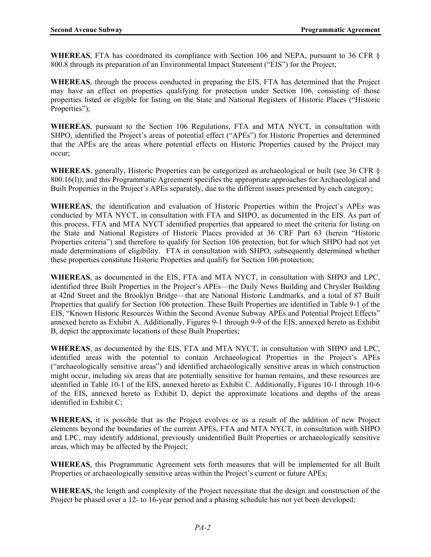**WHEREAS**, FTA has coordinated its compliance with Section 106 and NEPA, pursuant to 36 CFR § 800.8 through its preparation of an Environmental Impact Statement ("EIS") for the Project;

**WHEREAS**, through the process conducted in preparing the EIS, FTA has determined that the Project may have an effect on properties qualifying for protection under Section 106, consisting of those properties listed or eligible for listing on the State and National Registers of Historic Places ("Historic Properties");

**WHEREAS**, pursuant to the Section 106 Regulations, FTA and MTA NYCT, in consultation with SHPO, identified the Project's areas of potential effect ("APEs") for Historic Properties and determined that the APEs are the areas where potential effects on Historic Properties caused by the Project may occur;

**WHEREAS**, generally, Historic Properties can be categorized as archaeological or built (see 36 CFR § 800.16(l)); and this Programmatic Agreement specifies the appropriate approaches for Archaeological and Built Properties in the Project's APEs separately, due to the different issues presented by each category;

**WHEREAS**, the identification and evaluation of Historic Properties within the Project's APEs was conducted by MTA NYCT, in consultation with FTA and SHPO, as documented in the EIS. As part of this process, FTA and MTA NYCT identified properties that appeared to meet the criteria for listing on the State and National Registers of Historic Places provided at 36 CRF Part 63 (herein "Historic Properties criteria") and therefore to qualify for Section 106 protection, but for which SHPO had not yet made determinations of eligibility. FTA in consultation with SHPO, subsequently determined whether these properties constitute Historic Properties and qualify for Section 106 protection;

**WHEREAS**, as documented in the EIS, FTA and MTA NYCT, in consultation with SHPO and LPC, identified three Built Properties in the Project's APEs—the Daily News Building and Chrysler Building at 42nd Street and the Brooklyn Bridge—that are National Historic Landmarks, and a total of 87 Built Properties that qualify for Section 106 protection. These Built Properties are identified in Table 9-1 of the EIS, "Known Historic Resources Within the Second Avenue Subway APEs and Potential Project Effects" annexed hereto as Exhibit A. Additionally, Figures 9-1 through 9-9 of the EIS, annexed hereto as Exhibit B, depict the approximate locations of these Built Properties;

**WHEREAS**, as documented by the EIS, FTA and MTA NYCT, in consultation with SHPO and LPC, identified areas with the potential to contain Archaeological Properties in the Project's APEs ("archaeologically sensitive areas") and identified archaeologically sensitive areas in which construction might occur, including six areas that are potentially sensitive for human remains, and these resources are identified in Table 10-1 of the EIS, annexed hereto as Exhibit C. Additionally, Figures 10-1 through 10-6 of the EIS, annexed hereto as Exhibit D, depict the approximate locations and depths of the areas identified in Exhibit C;

**WHEREAS,** it is possible that as the Project evolves or as a result of the addition of new Project elements beyond the boundaries of the current APEs, FTA and MTA NYCT, in consultation with SHPO and LPC, may identify additional, previously unidentified Built Properties or archaeologically sensitive areas, which may be affected by the Project;

**WHEREAS**, this Programmatic Agreement sets forth measures that will be implemented for all Built Properties or archaeologically sensitive areas within the Project's current or future APEs;

**WHEREAS,** the length and complexity of the Project necessitate that the design and construction of the Project be phased over a 12- to 16-year period and a phasing schedule has not yet been developed;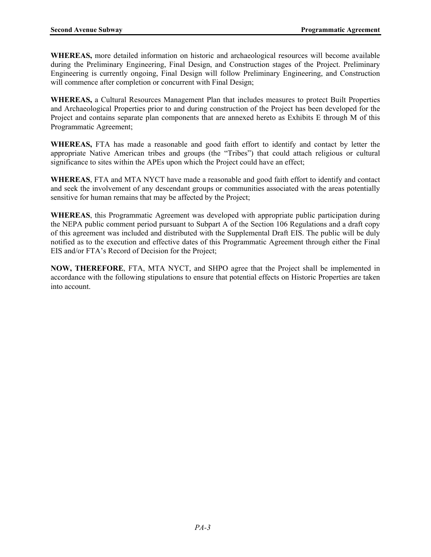**WHEREAS,** more detailed information on historic and archaeological resources will become available during the Preliminary Engineering, Final Design, and Construction stages of the Project. Preliminary Engineering is currently ongoing, Final Design will follow Preliminary Engineering, and Construction will commence after completion or concurrent with Final Design;

**WHEREAS,** a Cultural Resources Management Plan that includes measures to protect Built Properties and Archaeological Properties prior to and during construction of the Project has been developed for the Project and contains separate plan components that are annexed hereto as Exhibits E through M of this Programmatic Agreement;

**WHEREAS,** FTA has made a reasonable and good faith effort to identify and contact by letter the appropriate Native American tribes and groups (the "Tribes") that could attach religious or cultural significance to sites within the APEs upon which the Project could have an effect;

**WHEREAS**, FTA and MTA NYCT have made a reasonable and good faith effort to identify and contact and seek the involvement of any descendant groups or communities associated with the areas potentially sensitive for human remains that may be affected by the Project;

**WHEREAS**, this Programmatic Agreement was developed with appropriate public participation during the NEPA public comment period pursuant to Subpart A of the Section 106 Regulations and a draft copy of this agreement was included and distributed with the Supplemental Draft EIS. The public will be duly notified as to the execution and effective dates of this Programmatic Agreement through either the Final EIS and/or FTA's Record of Decision for the Project;

**NOW, THEREFORE**, FTA, MTA NYCT, and SHPO agree that the Project shall be implemented in accordance with the following stipulations to ensure that potential effects on Historic Properties are taken into account.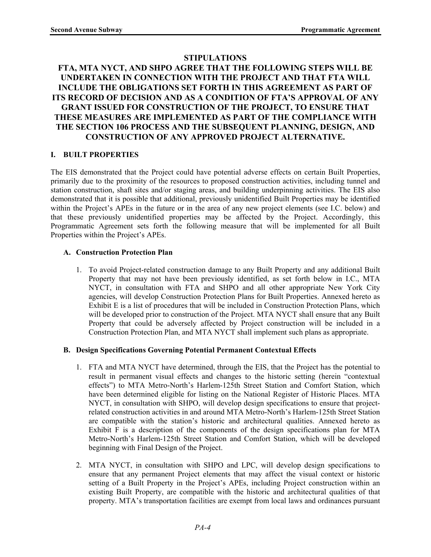# **STIPULATIONS**

# **FTA, MTA NYCT, AND SHPO AGREE THAT THE FOLLOWING STEPS WILL BE UNDERTAKEN IN CONNECTION WITH THE PROJECT AND THAT FTA WILL INCLUDE THE OBLIGATIONS SET FORTH IN THIS AGREEMENT AS PART OF ITS RECORD OF DECISION AND AS A CONDITION OF FTA'S APPROVAL OF ANY GRANT ISSUED FOR CONSTRUCTION OF THE PROJECT, TO ENSURE THAT THESE MEASURES ARE IMPLEMENTED AS PART OF THE COMPLIANCE WITH THE SECTION 106 PROCESS AND THE SUBSEQUENT PLANNING, DESIGN, AND CONSTRUCTION OF ANY APPROVED PROJECT ALTERNATIVE.**

### **I. BUILT PROPERTIES**

The EIS demonstrated that the Project could have potential adverse effects on certain Built Properties, primarily due to the proximity of the resources to proposed construction activities, including tunnel and station construction, shaft sites and/or staging areas, and building underpinning activities. The EIS also demonstrated that it is possible that additional, previously unidentified Built Properties may be identified within the Project's APEs in the future or in the area of any new project elements (see I.C. below) and that these previously unidentified properties may be affected by the Project. Accordingly, this Programmatic Agreement sets forth the following measure that will be implemented for all Built Properties within the Project's APEs.

### **A. Construction Protection Plan**

1. To avoid Project-related construction damage to any Built Property and any additional Built Property that may not have been previously identified, as set forth below in I.C., MTA NYCT, in consultation with FTA and SHPO and all other appropriate New York City agencies, will develop Construction Protection Plans for Built Properties. Annexed hereto as Exhibit E is a list of procedures that will be included in Construction Protection Plans, which will be developed prior to construction of the Project. MTA NYCT shall ensure that any Built Property that could be adversely affected by Project construction will be included in a Construction Protection Plan, and MTA NYCT shall implement such plans as appropriate.

#### **B. Design Specifications Governing Potential Permanent Contextual Effects**

- 1. FTA and MTA NYCT have determined, through the EIS, that the Project has the potential to result in permanent visual effects and changes to the historic setting (herein "contextual effects") to MTA Metro-North's Harlem-125th Street Station and Comfort Station, which have been determined eligible for listing on the National Register of Historic Places. MTA NYCT, in consultation with SHPO, will develop design specifications to ensure that projectrelated construction activities in and around MTA Metro-North's Harlem-125th Street Station are compatible with the station's historic and architectural qualities. Annexed hereto as Exhibit F is a description of the components of the design specifications plan for MTA Metro-North's Harlem-125th Street Station and Comfort Station, which will be developed beginning with Final Design of the Project.
- 2. MTA NYCT, in consultation with SHPO and LPC, will develop design specifications to ensure that any permanent Project elements that may affect the visual context or historic setting of a Built Property in the Project's APEs, including Project construction within an existing Built Property, are compatible with the historic and architectural qualities of that property. MTA's transportation facilities are exempt from local laws and ordinances pursuant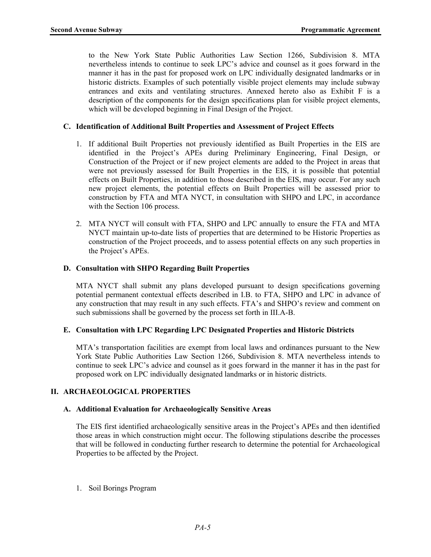to the New York State Public Authorities Law Section 1266, Subdivision 8. MTA nevertheless intends to continue to seek LPC's advice and counsel as it goes forward in the manner it has in the past for proposed work on LPC individually designated landmarks or in historic districts. Examples of such potentially visible project elements may include subway entrances and exits and ventilating structures. Annexed hereto also as Exhibit F is a description of the components for the design specifications plan for visible project elements, which will be developed beginning in Final Design of the Project.

### **C. Identification of Additional Built Properties and Assessment of Project Effects**

- 1. If additional Built Properties not previously identified as Built Properties in the EIS are identified in the Project's APEs during Preliminary Engineering, Final Design, or Construction of the Project or if new project elements are added to the Project in areas that were not previously assessed for Built Properties in the EIS, it is possible that potential effects on Built Properties, in addition to those described in the EIS, may occur. For any such new project elements, the potential effects on Built Properties will be assessed prior to construction by FTA and MTA NYCT, in consultation with SHPO and LPC, in accordance with the Section 106 process.
- 2. MTA NYCT will consult with FTA, SHPO and LPC annually to ensure the FTA and MTA NYCT maintain up-to-date lists of properties that are determined to be Historic Properties as construction of the Project proceeds, and to assess potential effects on any such properties in the Project's APEs.

### **D. Consultation with SHPO Regarding Built Properties**

MTA NYCT shall submit any plans developed pursuant to design specifications governing potential permanent contextual effects described in I.B. to FTA, SHPO and LPC in advance of any construction that may result in any such effects. FTA's and SHPO's review and comment on such submissions shall be governed by the process set forth in III.A-B.

#### **E. Consultation with LPC Regarding LPC Designated Properties and Historic Districts**

MTA's transportation facilities are exempt from local laws and ordinances pursuant to the New York State Public Authorities Law Section 1266, Subdivision 8. MTA nevertheless intends to continue to seek LPC's advice and counsel as it goes forward in the manner it has in the past for proposed work on LPC individually designated landmarks or in historic districts.

# **II. ARCHAEOLOGICAL PROPERTIES**

#### **A. Additional Evaluation for Archaeologically Sensitive Areas**

The EIS first identified archaeologically sensitive areas in the Project's APEs and then identified those areas in which construction might occur. The following stipulations describe the processes that will be followed in conducting further research to determine the potential for Archaeological Properties to be affected by the Project.

1. Soil Borings Program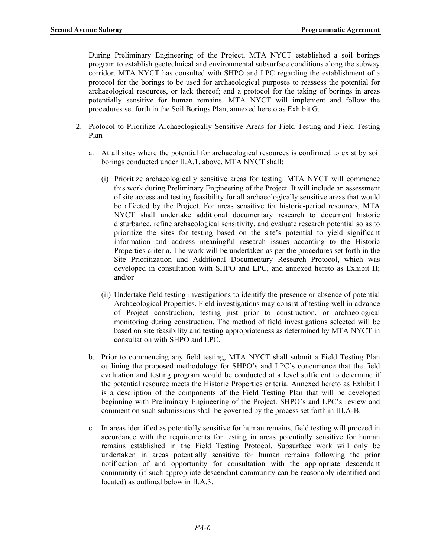During Preliminary Engineering of the Project, MTA NYCT established a soil borings program to establish geotechnical and environmental subsurface conditions along the subway corridor. MTA NYCT has consulted with SHPO and LPC regarding the establishment of a protocol for the borings to be used for archaeological purposes to reassess the potential for archaeological resources, or lack thereof; and a protocol for the taking of borings in areas potentially sensitive for human remains. MTA NYCT will implement and follow the procedures set forth in the Soil Borings Plan, annexed hereto as Exhibit G.

- 2. Protocol to Prioritize Archaeologically Sensitive Areas for Field Testing and Field Testing Plan
	- a. At all sites where the potential for archaeological resources is confirmed to exist by soil borings conducted under II.A.1. above, MTA NYCT shall:
		- (i) Prioritize archaeologically sensitive areas for testing. MTA NYCT will commence this work during Preliminary Engineering of the Project. It will include an assessment of site access and testing feasibility for all archaeologically sensitive areas that would be affected by the Project. For areas sensitive for historic-period resources, MTA NYCT shall undertake additional documentary research to document historic disturbance, refine archaeological sensitivity, and evaluate research potential so as to prioritize the sites for testing based on the site's potential to yield significant information and address meaningful research issues according to the Historic Properties criteria. The work will be undertaken as per the procedures set forth in the Site Prioritization and Additional Documentary Research Protocol, which was developed in consultation with SHPO and LPC, and annexed hereto as Exhibit H; and/or
		- (ii) Undertake field testing investigations to identify the presence or absence of potential Archaeological Properties. Field investigations may consist of testing well in advance of Project construction, testing just prior to construction, or archaeological monitoring during construction. The method of field investigations selected will be based on site feasibility and testing appropriateness as determined by MTA NYCT in consultation with SHPO and LPC.
	- b. Prior to commencing any field testing, MTA NYCT shall submit a Field Testing Plan outlining the proposed methodology for SHPO's and LPC's concurrence that the field evaluation and testing program would be conducted at a level sufficient to determine if the potential resource meets the Historic Properties criteria. Annexed hereto as Exhibit I is a description of the components of the Field Testing Plan that will be developed beginning with Preliminary Engineering of the Project. SHPO's and LPC's review and comment on such submissions shall be governed by the process set forth in III.A-B.
	- c. In areas identified as potentially sensitive for human remains, field testing will proceed in accordance with the requirements for testing in areas potentially sensitive for human remains established in the Field Testing Protocol. Subsurface work will only be undertaken in areas potentially sensitive for human remains following the prior notification of and opportunity for consultation with the appropriate descendant community (if such appropriate descendant community can be reasonably identified and located) as outlined below in II.A.3.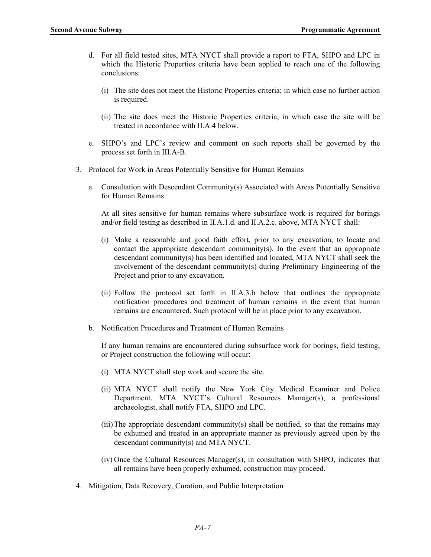- d. For all field tested sites, MTA NYCT shall provide a report to FTA, SHPO and LPC in which the Historic Properties criteria have been applied to reach one of the following conclusions:
	- (i) The site does not meet the Historic Properties criteria; in which case no further action is required.
	- (ii) The site does meet the Historic Properties criteria, in which case the site will be treated in accordance with II.A.4 below.
- e. SHPO's and LPC's review and comment on such reports shall be governed by the process set forth in III.A-B.
- 3. Protocol for Work in Areas Potentially Sensitive for Human Remains
	- a. Consultation with Descendant Community(s) Associated with Areas Potentially Sensitive for Human Remains

At all sites sensitive for human remains where subsurface work is required for borings and/or field testing as described in II.A.1.d. and II.A.2.c. above, MTA NYCT shall:

- (i) Make a reasonable and good faith effort, prior to any excavation, to locate and contact the appropriate descendant community(s). In the event that an appropriate descendant community(s) has been identified and located, MTA NYCT shall seek the involvement of the descendant community(s) during Preliminary Engineering of the Project and prior to any excavation.
- (ii) Follow the protocol set forth in II.A.3.b below that outlines the appropriate notification procedures and treatment of human remains in the event that human remains are encountered. Such protocol will be in place prior to any excavation.
- b. Notification Procedures and Treatment of Human Remains

If any human remains are encountered during subsurface work for borings, field testing, or Project construction the following will occur:

- (i) MTA NYCT shall stop work and secure the site.
- (ii) MTA NYCT shall notify the New York City Medical Examiner and Police Department. MTA NYCT's Cultural Resources Manager(s), a professional archaeologist, shall notify FTA, SHPO and LPC.
- $(iii)$ The appropriate descendant community(s) shall be notified, so that the remains may be exhumed and treated in an appropriate manner as previously agreed upon by the descendant community(s) and MTA NYCT.
- (iv) Once the Cultural Resources Manager(s), in consultation with SHPO, indicates that all remains have been properly exhumed, construction may proceed.
- 4. Mitigation, Data Recovery, Curation, and Public Interpretation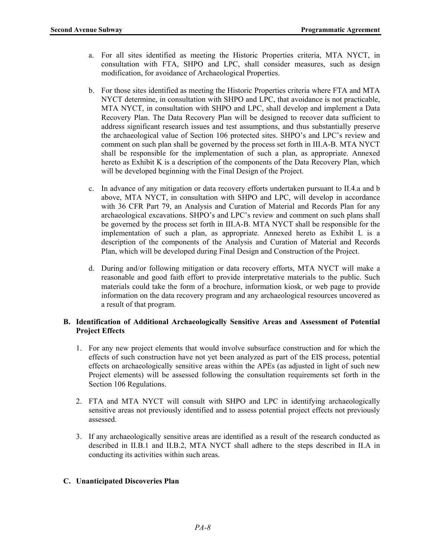- a. For all sites identified as meeting the Historic Properties criteria, MTA NYCT, in consultation with FTA, SHPO and LPC, shall consider measures, such as design modification, for avoidance of Archaeological Properties.
- b. For those sites identified as meeting the Historic Properties criteria where FTA and MTA NYCT determine, in consultation with SHPO and LPC, that avoidance is not practicable, MTA NYCT, in consultation with SHPO and LPC, shall develop and implement a Data Recovery Plan. The Data Recovery Plan will be designed to recover data sufficient to address significant research issues and test assumptions, and thus substantially preserve the archaeological value of Section 106 protected sites. SHPO's and LPC's review and comment on such plan shall be governed by the process set forth in III.A-B. MTA NYCT shall be responsible for the implementation of such a plan, as appropriate. Annexed hereto as Exhibit K is a description of the components of the Data Recovery Plan, which will be developed beginning with the Final Design of the Project.
- c. In advance of any mitigation or data recovery efforts undertaken pursuant to II.4.a and b above, MTA NYCT, in consultation with SHPO and LPC, will develop in accordance with 36 CFR Part 79, an Analysis and Curation of Material and Records Plan for any archaeological excavations. SHPO's and LPC's review and comment on such plans shall be governed by the process set forth in III.A-B. MTA NYCT shall be responsible for the implementation of such a plan, as appropriate. Annexed hereto as Exhibit L is a description of the components of the Analysis and Curation of Material and Records Plan, which will be developed during Final Design and Construction of the Project.
- d. During and/or following mitigation or data recovery efforts, MTA NYCT will make a reasonable and good faith effort to provide interpretative materials to the public. Such materials could take the form of a brochure, information kiosk, or web page to provide information on the data recovery program and any archaeological resources uncovered as a result of that program.

### **B. Identification of Additional Archaeologically Sensitive Areas and Assessment of Potential Project Effects**

- 1. For any new project elements that would involve subsurface construction and for which the effects of such construction have not yet been analyzed as part of the EIS process, potential effects on archaeologically sensitive areas within the APEs (as adjusted in light of such new Project elements) will be assessed following the consultation requirements set forth in the Section 106 Regulations.
- 2. FTA and MTA NYCT will consult with SHPO and LPC in identifying archaeologically sensitive areas not previously identified and to assess potential project effects not previously assessed.
- 3. If any archaeologically sensitive areas are identified as a result of the research conducted as described in II.B.1 and II.B.2, MTA NYCT shall adhere to the steps described in II.A in conducting its activities within such areas.

# **C. Unanticipated Discoveries Plan**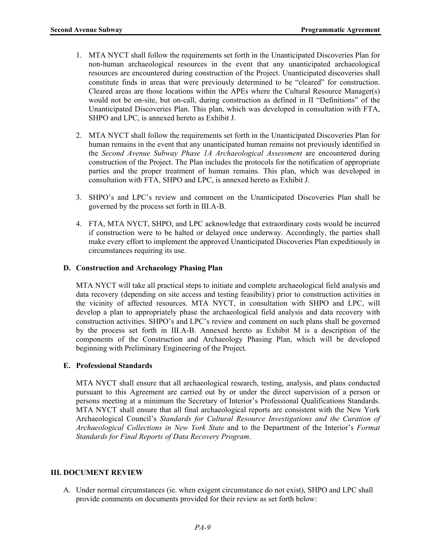- 1. MTA NYCT shall follow the requirements set forth in the Unanticipated Discoveries Plan for non-human archaeological resources in the event that any unanticipated archaeological resources are encountered during construction of the Project. Unanticipated discoveries shall constitute finds in areas that were previously determined to be "cleared" for construction. Cleared areas are those locations within the APEs where the Cultural Resource Manager(s) would not be on-site, but on-call, during construction as defined in II "Definitions" of the Unanticipated Discoveries Plan. This plan, which was developed in consultation with FTA, SHPO and LPC, is annexed hereto as Exhibit J.
- 2. MTA NYCT shall follow the requirements set forth in the Unanticipated Discoveries Plan for human remains in the event that any unanticipated human remains not previously identified in the *Second Avenue Subway Phase 1A Archaeological Assessment* are encountered during construction of the Project. The Plan includes the protocols for the notification of appropriate parties and the proper treatment of human remains. This plan, which was developed in consultation with FTA, SHPO and LPC, is annexed hereto as Exhibit J.
- 3. SHPO's and LPC's review and comment on the Unanticipated Discoveries Plan shall be governed by the process set forth in III.A-B.
- 4. FTA, MTA NYCT, SHPO, and LPC acknowledge that extraordinary costs would be incurred if construction were to be halted or delayed once underway. Accordingly, the parties shall make every effort to implement the approved Unanticipated Discoveries Plan expeditiously in circumstances requiring its use.

### **D. Construction and Archaeology Phasing Plan**

MTA NYCT will take all practical steps to initiate and complete archaeological field analysis and data recovery (depending on site access and testing feasibility) prior to construction activities in the vicinity of affected resources. MTA NYCT, in consultation with SHPO and LPC, will develop a plan to appropriately phase the archaeological field analysis and data recovery with construction activities. SHPO's and LPC's review and comment on such plans shall be governed by the process set forth in III.A-B. Annexed hereto as Exhibit M is a description of the components of the Construction and Archaeology Phasing Plan, which will be developed beginning with Preliminary Engineering of the Project.

# **E. Professional Standards**

MTA NYCT shall ensure that all archaeological research, testing, analysis, and plans conducted pursuant to this Agreement are carried out by or under the direct supervision of a person or persons meeting at a minimum the Secretary of Interior's Professional Qualifications Standards. MTA NYCT shall ensure that all final archaeological reports are consistent with the New York Archaeological Council's *Standards for Cultural Resource Investigations and the Curation of Archaeological Collections in New York State* and to the Department of the Interior's *Format Standards for Final Reports of Data Recovery Program*.

#### **III. DOCUMENT REVIEW**

A. Under normal circumstances (ie. when exigent circumstance do not exist), SHPO and LPC shall provide comments on documents provided for their review as set forth below: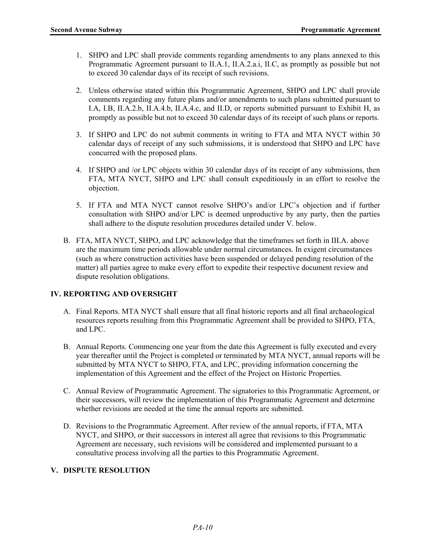- 1. SHPO and LPC shall provide comments regarding amendments to any plans annexed to this Programmatic Agreement pursuant to II.A.1, II.A.2.a.i, II.C, as promptly as possible but not to exceed 30 calendar days of its receipt of such revisions.
- 2. Unless otherwise stated within this Programmatic Agreement, SHPO and LPC shall provide comments regarding any future plans and/or amendments to such plans submitted pursuant to I.A, I.B, II.A.2.b, II.A.4.b, II.A.4.c, and II.D, or reports submitted pursuant to Exhibit H, as promptly as possible but not to exceed 30 calendar days of its receipt of such plans or reports.
- 3. If SHPO and LPC do not submit comments in writing to FTA and MTA NYCT within 30 calendar days of receipt of any such submissions, it is understood that SHPO and LPC have concurred with the proposed plans.
- 4. If SHPO and /or LPC objects within 30 calendar days of its receipt of any submissions, then FTA, MTA NYCT, SHPO and LPC shall consult expeditiously in an effort to resolve the objection.
- 5. If FTA and MTA NYCT cannot resolve SHPO's and/or LPC's objection and if further consultation with SHPO and/or LPC is deemed unproductive by any party, then the parties shall adhere to the dispute resolution procedures detailed under V. below.
- B. FTA, MTA NYCT, SHPO, and LPC acknowledge that the timeframes set forth in III.A. above are the maximum time periods allowable under normal circumstances. In exigent circumstances (such as where construction activities have been suspended or delayed pending resolution of the matter) all parties agree to make every effort to expedite their respective document review and dispute resolution obligations.

# **IV. REPORTING AND OVERSIGHT**

- A. Final Reports. MTA NYCT shall ensure that all final historic reports and all final archaeological resources reports resulting from this Programmatic Agreement shall be provided to SHPO, FTA, and LPC.
- B. Annual Reports. Commencing one year from the date this Agreement is fully executed and every year thereafter until the Project is completed or terminated by MTA NYCT, annual reports will be submitted by MTA NYCT to SHPO, FTA, and LPC, providing information concerning the implementation of this Agreement and the effect of the Project on Historic Properties.
- C. Annual Review of Programmatic Agreement. The signatories to this Programmatic Agreement, or their successors, will review the implementation of this Programmatic Agreement and determine whether revisions are needed at the time the annual reports are submitted.
- D. Revisions to the Programmatic Agreement. After review of the annual reports, if FTA, MTA NYCT, and SHPO, or their successors in interest all agree that revisions to this Programmatic Agreement are necessary, such revisions will be considered and implemented pursuant to a consultative process involving all the parties to this Programmatic Agreement.

# **V. DISPUTE RESOLUTION**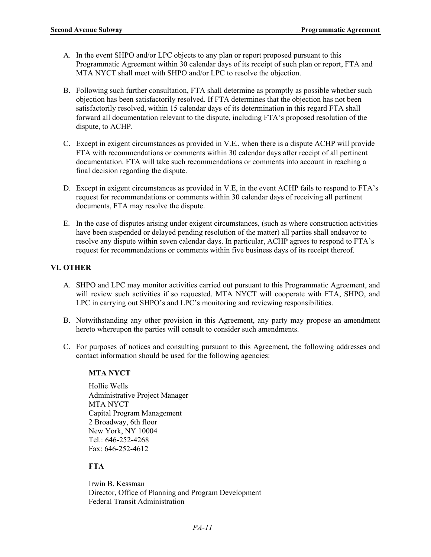- A. In the event SHPO and/or LPC objects to any plan or report proposed pursuant to this Programmatic Agreement within 30 calendar days of its receipt of such plan or report, FTA and MTA NYCT shall meet with SHPO and/or LPC to resolve the objection.
- B. Following such further consultation, FTA shall determine as promptly as possible whether such objection has been satisfactorily resolved. If FTA determines that the objection has not been satisfactorily resolved, within 15 calendar days of its determination in this regard FTA shall forward all documentation relevant to the dispute, including FTA's proposed resolution of the dispute, to ACHP.
- C. Except in exigent circumstances as provided in V.E., when there is a dispute ACHP will provide FTA with recommendations or comments within 30 calendar days after receipt of all pertinent documentation. FTA will take such recommendations or comments into account in reaching a final decision regarding the dispute.
- D. Except in exigent circumstances as provided in V.E, in the event ACHP fails to respond to FTA's request for recommendations or comments within 30 calendar days of receiving all pertinent documents, FTA may resolve the dispute.
- E. In the case of disputes arising under exigent circumstances, (such as where construction activities have been suspended or delayed pending resolution of the matter) all parties shall endeavor to resolve any dispute within seven calendar days. In particular, ACHP agrees to respond to FTA's request for recommendations or comments within five business days of its receipt thereof.

#### **VI. OTHER**

- A. SHPO and LPC may monitor activities carried out pursuant to this Programmatic Agreement, and will review such activities if so requested. MTA NYCT will cooperate with FTA, SHPO, and LPC in carrying out SHPO's and LPC's monitoring and reviewing responsibilities.
- B. Notwithstanding any other provision in this Agreement, any party may propose an amendment hereto whereupon the parties will consult to consider such amendments.
- C. For purposes of notices and consulting pursuant to this Agreement, the following addresses and contact information should be used for the following agencies:

#### **MTA NYCT**

Hollie Wells Administrative Project Manager MTA NYCT Capital Program Management 2 Broadway, 6th floor New York, NY 10004 Tel.: 646-252-4268 Fax: 646-252-4612

#### **FTA**

Irwin B. Kessman Director, Office of Planning and Program Development Federal Transit Administration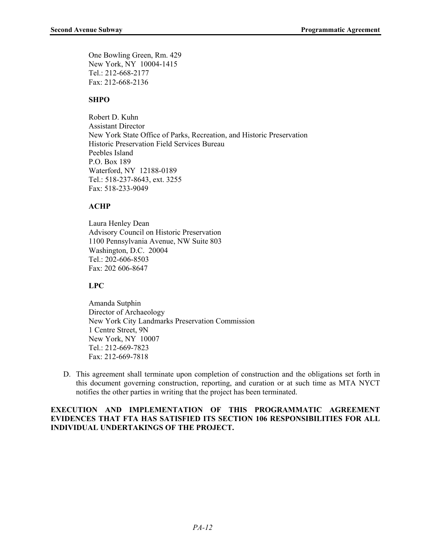One Bowling Green, Rm. 429 New York, NY 10004-1415 Tel.: 212-668-2177 Fax: 212-668-2136

#### **SHPO**

Robert D. Kuhn Assistant Director New York State Office of Parks, Recreation, and Historic Preservation Historic Preservation Field Services Bureau Peebles Island P.O. Box 189 Waterford, NY 12188-0189 Tel.: 518-237-8643, ext. 3255 Fax: 518-233-9049

#### **ACHP**

Laura Henley Dean Advisory Council on Historic Preservation 1100 Pennsylvania Avenue, NW Suite 803 Washington, D.C. 20004 Tel.: 202-606-8503 Fax: 202 606-8647

#### **LPC**

Amanda Sutphin Director of Archaeology New York City Landmarks Preservation Commission 1 Centre Street, 9N New York, NY 10007 Tel.: 212-669-7823 Fax: 212-669-7818

D. This agreement shall terminate upon completion of construction and the obligations set forth in this document governing construction, reporting, and curation or at such time as MTA NYCT notifies the other parties in writing that the project has been terminated.

### **EXECUTION AND IMPLEMENTATION OF THIS PROGRAMMATIC AGREEMENT EVIDENCES THAT FTA HAS SATISFIED ITS SECTION 106 RESPONSIBILITIES FOR ALL INDIVIDUAL UNDERTAKINGS OF THE PROJECT.**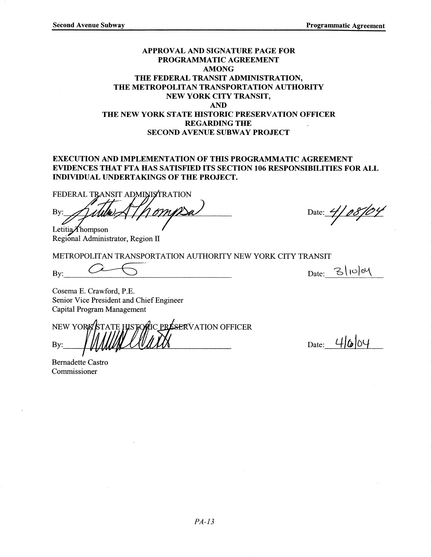### APPROVAL AND SIGNATURE PAGE FOR PROGRAMMATIC AGREEMENT **AMONG** THE FEDERAL TRANSIT ADMINISTRATION, THE METROPOLITAN TRANSPORTATION AUTHORITY NEW YORK CITY TRANSIT. **AND** THE NEW YORK STATE HISTORIC PRESERVATION OFFICER **REGARDING THE SECOND AVENUE SUBWAY PROJECT**

#### **EXECUTION AND IMPLEMENTATION OF THIS PROGRAMMATIC AGREEMENT** EVIDENCES THAT FTA HAS SATISFIED ITS SECTION 106 RESPONSIBILITIES FOR ALL **INDIVIDUAL UNDERTAKINGS OF THE PROJECT.**

FEDERAL TRANSIT ADMINISTRATION

By: Letitia $\n *f*hompson$ 

Regional Administrator, Region II

METROPOLITAN TRANSPORTATION AUTHORITY NEW YORK CITY TRANSIT

Bv:

Date:  $3|10|04$ 

Date: 4/08/04

Cosema E. Crawford, P.E. Senior Vice President and Chief Engineer Capital Program Management

NEW YORK **HISTORIC PRESERVATION OFFICER** By:

**Bernadette Castro** Commissioner

Date:  $4|\&|04$